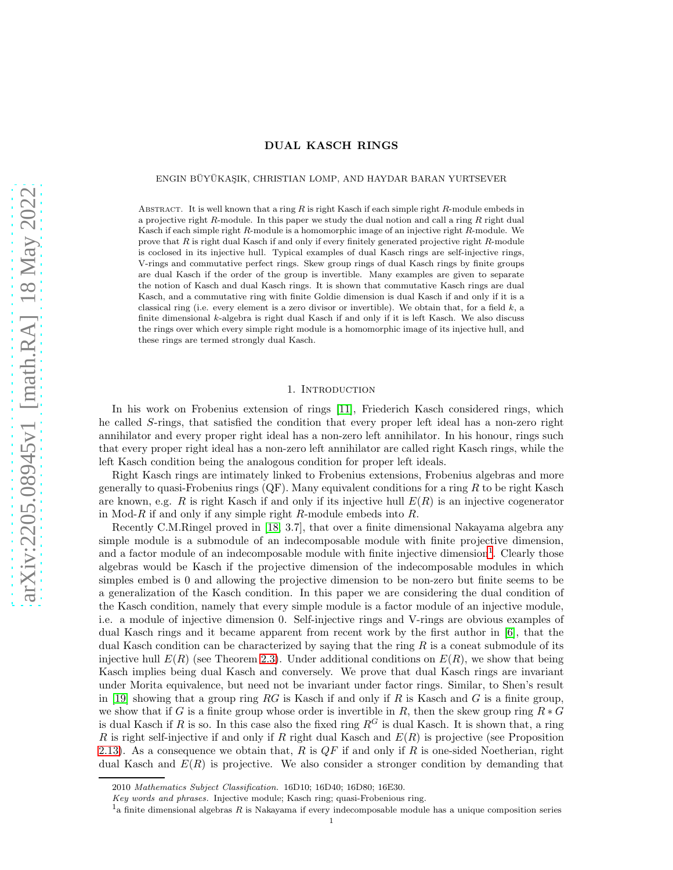# DUAL KASCH RINGS

#### ENGIN BÜYÜKAŞIK, CHRISTIAN LOMP, AND HAYDAR BARAN YURTSEVER

ABSTRACT. It is well known that a ring  $R$  is right Kasch if each simple right  $R$ -module embeds in a projective right R-module. In this paper we study the dual notion and call a ring R right dual Kasch if each simple right R-module is a homomorphic image of an injective right R-module. We prove that R is right dual Kasch if and only if every finitely generated projective right R-module is coclosed in its injective hull. Typical examples of dual Kasch rings are self-injective rings, V-rings and commutative perfect rings. Skew group rings of dual Kasch rings by finite groups are dual Kasch if the order of the group is invertible. Many examples are given to separate the notion of Kasch and dual Kasch rings. It is shown that commutative Kasch rings are dual Kasch, and a commutative ring with finite Goldie dimension is dual Kasch if and only if it is a classical ring (i.e. every element is a zero divisor or invertible). We obtain that, for a field  $k$ , a finite dimensional k-algebra is right dual Kasch if and only if it is left Kasch. We also discuss the rings over which every simple right module is a homomorphic image of its injective hull, and these rings are termed strongly dual Kasch.

# 1. INTRODUCTION

In his work on Frobenius extension of rings [\[11\]](#page-10-0), Friederich Kasch considered rings, which he called S-rings, that satisfied the condition that every proper left ideal has a non-zero right annihilator and every proper right ideal has a non-zero left annihilator. In his honour, rings such that every proper right ideal has a non-zero left annihilator are called right Kasch rings, while the left Kasch condition being the analogous condition for proper left ideals.

Right Kasch rings are intimately linked to Frobenius extensions, Frobenius algebras and more generally to quasi-Frobenius rings  $(QF)$ . Many equivalent conditions for a ring R to be right Kasch are known, e.g. R is right Kasch if and only if its injective hull  $E(R)$  is an injective cogenerator in Mod-R if and only if any simple right R-module embeds into  $R$ .

Recently C.M.Ringel proved in [\[18,](#page-11-0) 3.7], that over a finite dimensional Nakayama algebra any simple module is a submodule of an indecomposable module with finite projective dimension, and a factor module of an indecomposable module with finite injective dimension<sup>[1](#page-0-0)</sup>. Clearly those algebras would be Kasch if the projective dimension of the indecomposable modules in which simples embed is 0 and allowing the projective dimension to be non-zero but finite seems to be a generalization of the Kasch condition. In this paper we are considering the dual condition of the Kasch condition, namely that every simple module is a factor module of an injective module. i.e. a module of injective dimension 0. Self-injective rings and V-rings are obvious examples of dual Kasch rings and it became apparent from recent work by the first author in [\[6\]](#page-10-1), that the dual Kasch condition can be characterized by saying that the ring  $R$  is a coneat submodule of its injective hull  $E(R)$  (see Theorem [2.3\)](#page-2-0). Under additional conditions on  $E(R)$ , we show that being Kasch implies being dual Kasch and conversely. We prove that dual Kasch rings are invariant under Morita equivalence, but need not be invariant under factor rings. Similar, to Shen's result in [\[19\]](#page-11-1) showing that a group ring RG is Kasch if and only if R is Kasch and G is a finite group, we show that if G is a finite group whose order is invertible in R, then the skew group ring  $R * G$ is dual Kasch if R is so. In this case also the fixed ring  $R^G$  is dual Kasch. It is shown that, a ring R is right self-injective if and only if R right dual Kasch and  $E(R)$  is projective (see Proposition [2.13\)](#page-6-0). As a consequence we obtain that, R is  $QF$  if and only if R is one-sided Noetherian, right dual Kasch and  $E(R)$  is projective. We also consider a stronger condition by demanding that

<sup>2010</sup> Mathematics Subject Classification. 16D10; 16D40; 16D80; 16E30.

Key words and phrases. Injective module; Kasch ring; quasi-Frobenious ring.

<span id="page-0-0"></span> $<sup>1</sup>a$  finite dimensional algebras R is Nakayama if every indecomposable module has a unique composition series</sup>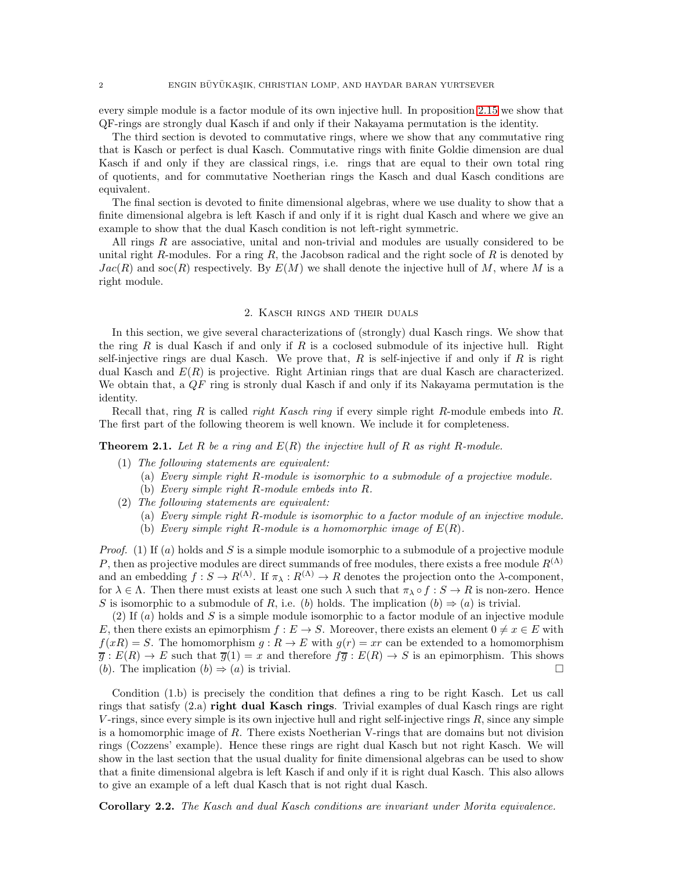every simple module is a factor module of its own injective hull. In proposition [2.15](#page-7-0) we show that QF-rings are strongly dual Kasch if and only if their Nakayama permutation is the identity.

The third section is devoted to commutative rings, where we show that any commutative ring that is Kasch or perfect is dual Kasch. Commutative rings with finite Goldie dimension are dual Kasch if and only if they are classical rings, i.e. rings that are equal to their own total ring of quotients, and for commutative Noetherian rings the Kasch and dual Kasch conditions are equivalent.

The final section is devoted to finite dimensional algebras, where we use duality to show that a finite dimensional algebra is left Kasch if and only if it is right dual Kasch and where we give an example to show that the dual Kasch condition is not left-right symmetric.

All rings  $R$  are associative, unital and non-trivial and modules are usually considered to be unital right R-modules. For a ring R, the Jacobson radical and the right socle of R is denoted by  $Jac(R)$  and soc(R) respectively. By  $E(M)$  we shall denote the injective hull of M, where M is a right module.

### 2. Kasch rings and their duals

In this section, we give several characterizations of (strongly) dual Kasch rings. We show that the ring R is dual Kasch if and only if R is a coclosed submodule of its injective hull. Right self-injective rings are dual Kasch. We prove that,  $R$  is self-injective if and only if  $R$  is right dual Kasch and  $E(R)$  is projective. Right Artinian rings that are dual Kasch are characterized. We obtain that, a  $QF$  ring is stronly dual Kasch if and only if its Nakayama permutation is the identity.

Recall that, ring  $R$  is called *right Kasch ring* if every simple right  $R$ -module embeds into  $R$ . The first part of the following theorem is well known. We include it for completeness.

<span id="page-1-0"></span>**Theorem 2.1.** Let R be a ring and  $E(R)$  the injective hull of R as right R-module.

- (1) The following statements are equivalent:
	- (a) Every simple right R-module is isomorphic to a submodule of a projective module.
	- (b) Every simple right R-module embeds into R.
- (2) The following statements are equivalent:
	- (a) Every simple right R-module is isomorphic to a factor module of an injective module.
	- (b) Every simple right R-module is a homomorphic image of  $E(R)$ .

*Proof.* (1) If  $(a)$  holds and S is a simple module isomorphic to a submodule of a projective module P, then as projective modules are direct summands of free modules, there exists a free module  $R^{(\Lambda)}$ and an embedding  $f : S \to R^{(\Lambda)}$ . If  $\pi_{\lambda} : R^{(\Lambda)} \to R$  denotes the projection onto the  $\lambda$ -component, for  $\lambda \in \Lambda$ . Then there must exists at least one such  $\lambda$  such that  $\pi_{\lambda} \circ f : S \to R$  is non-zero. Hence S is isomorphic to a submodule of R, i.e. (b) holds. The implication  $(b) \Rightarrow (a)$  is trivial.

(2) If  $(a)$  holds and S is a simple module isomorphic to a factor module of an injective module E, then there exists an epimorphism  $f : E \to S$ . Moreover, there exists an element  $0 \neq x \in E$  with  $f(xR) = S$ . The homomorphism  $q: R \to E$  with  $q(r) = xr$  can be extended to a homomorphism  $\overline{q}: E(R) \to E$  such that  $\overline{q}(1) = x$  and therefore  $f\overline{q}: E(R) \to S$  is an epimorphism. This shows (b). The implication  $(b) \Rightarrow (a)$  is trivial.

Condition (1.b) is precisely the condition that defines a ring to be right Kasch. Let us call rings that satisfy  $(2.a)$  right dual Kasch rings. Trivial examples of dual Kasch rings are right V-rings, since every simple is its own injective hull and right self-injective rings  $R$ , since any simple is a homomorphic image of R. There exists Noetherian V-rings that are domains but not division rings (Cozzens' example). Hence these rings are right dual Kasch but not right Kasch. We will show in the last section that the usual duality for finite dimensional algebras can be used to show that a finite dimensional algebra is left Kasch if and only if it is right dual Kasch. This also allows to give an example of a left dual Kasch that is not right dual Kasch.

<span id="page-1-1"></span>Corollary 2.2. The Kasch and dual Kasch conditions are invariant under Morita equivalence.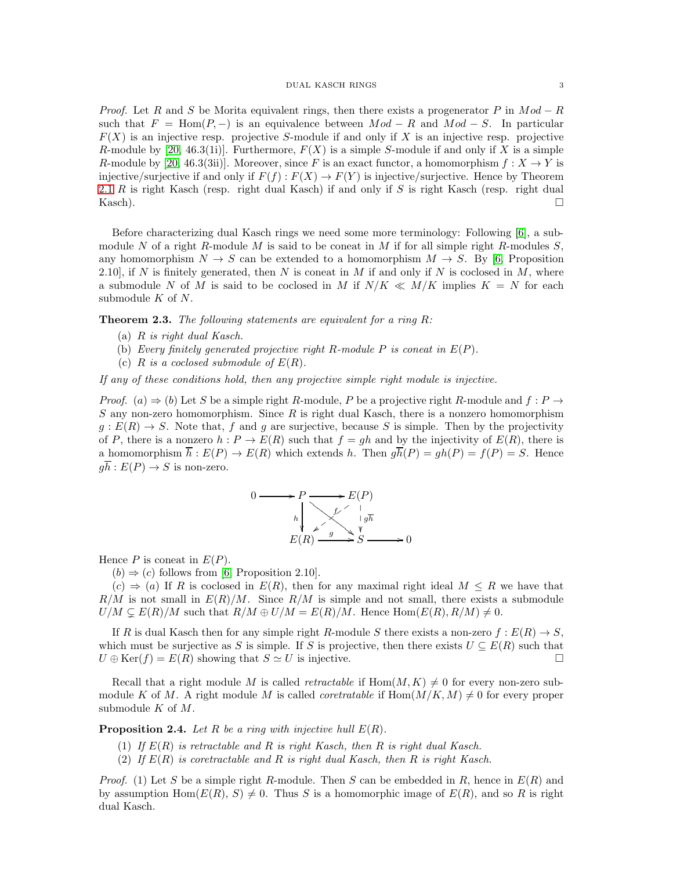*Proof.* Let R and S be Morita equivalent rings, then there exists a progenerator P in  $Mod - R$ such that  $F = \text{Hom}(P, -)$  is an equivalence between  $Mod - R$  and  $Mod - S$ . In particular  $F(X)$  is an injective resp. projective S-module if and only if X is an injective resp. projective R-module by [\[20,](#page-11-2) 46.3(1i)]. Furthermore,  $F(X)$  is a simple S-module if and only if X is a simple R-module by [\[20,](#page-11-2) 46.3(3ii)]. Moreover, since F is an exact functor, a homomorphism  $f: X \to Y$  is injective/surjective if and only if  $F(f) : F(X) \to F(Y)$  is injective/surjective. Hence by Theorem [2.1](#page-1-0) R is right Kasch (resp. right dual Kasch) if and only if S is right Kasch (resp. right dual Kasch).

Before characterizing dual Kasch rings we need some more terminology: Following [\[6\]](#page-10-1), a submodule N of a right R-module M is said to be coneat in M if for all simple right R-modules  $S$ , any homomorphism  $N \to S$  can be extended to a homomorphism  $M \to S$ . By [\[6,](#page-10-1) Proposition 2.10, if N is finitely generated, then N is coneat in M if and only if N is coclosed in M, where a submodule N of M is said to be coclosed in M if  $N/K \ll M/K$  implies  $K = N$  for each submodule  $K$  of  $N$ .

<span id="page-2-0"></span>**Theorem 2.3.** The following statements are equivalent for a ring  $R$ :

- (a) R is right dual Kasch.
- (b) Every finitely generated projective right R-module P is coneat in  $E(P)$ .
- (c)  $R$  is a coclosed submodule of  $E(R)$ .

If any of these conditions hold, then any projective simple right module is injective.

*Proof.* (a)  $\Rightarrow$  (b) Let S be a simple right R-module, P be a projective right R-module and f : P  $\rightarrow$ S any non-zero homomorphism. Since R is right dual Kasch, there is a nonzero homomorphism  $g: E(R) \to S$ . Note that, f and g are surjective, because S is simple. Then by the projectivity of P, there is a nonzero  $h : P \to E(R)$  such that  $f = gh$  and by the injectivity of  $E(R)$ , there is a homomorphism  $\overline{h}: E(P) \to E(R)$  which extends h. Then  $g\overline{h}(P) = gh(P) = f(P) = S$ . Hence  $q\overline{h}: E(P) \to S$  is non-zero.



Hence  $P$  is coneat in  $E(P)$ .

 $(b) \Rightarrow (c)$  follows from [\[6,](#page-10-1) Proposition 2.10].

 $(c) \Rightarrow (a)$  If R is coclosed in  $E(R)$ , then for any maximal right ideal  $M \leq R$  we have that  $R/M$  is not small in  $E(R)/M$ . Since  $R/M$  is simple and not small, there exists a submodule  $U/M \subsetneq E(R)/M$  such that  $R/M \oplus U/M = E(R)/M$ . Hence  $\text{Hom}(E(R), R/M) \neq 0$ .

If R is dual Kasch then for any simple right R-module S there exists a non-zero  $f : E(R) \to S$ , which must be surjective as S is simple. If S is projective, then there exists  $U \subseteq E(R)$  such that  $U \oplus \text{Ker}(f) = E(R)$  showing that  $S \simeq U$  is injective.

Recall that a right module M is called *retractable* if  $Hom(M, K) \neq 0$  for every non-zero submodule K of M. A right module M is called *coretratable* if  $Hom(M/K, M) \neq 0$  for every proper submodule  $K$  of  $M$ .

**Proposition 2.4.** Let R be a ring with injective hull  $E(R)$ .

- (1) If  $E(R)$  is retractable and R is right Kasch, then R is right dual Kasch.
- (2) If  $E(R)$  is coretractable and R is right dual Kasch, then R is right Kasch.

*Proof.* (1) Let S be a simple right R-module. Then S can be embedded in R, hence in  $E(R)$  and by assumption  $\text{Hom}(E(R), S) \neq 0$ . Thus S is a homomorphic image of  $E(R)$ , and so R is right dual Kasch.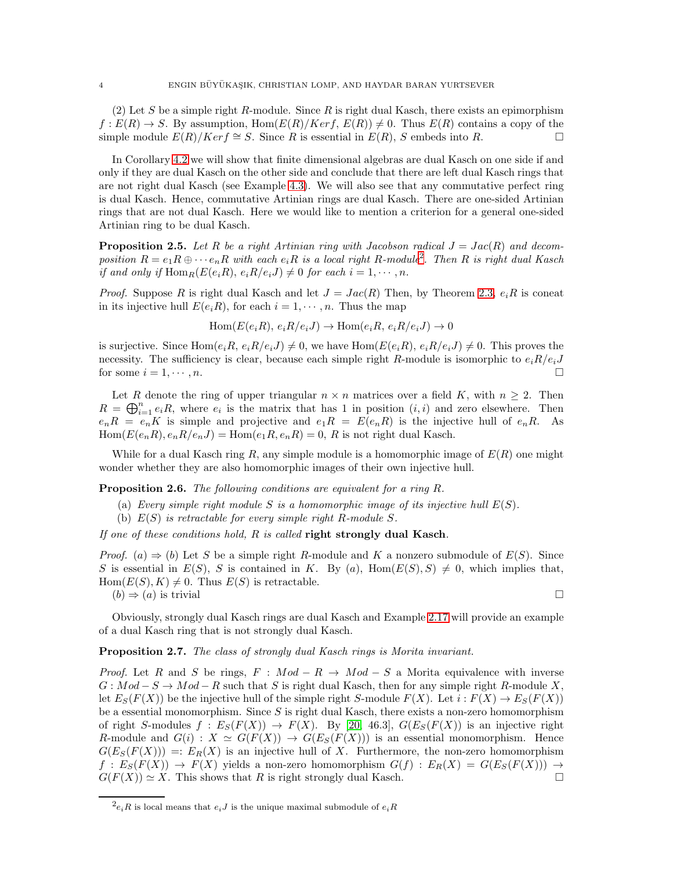(2) Let S be a simple right R-module. Since R is right dual Kasch, there exists an epimorphism  $f: E(R) \to S$ . By assumption,  $Hom(E(R)/Ker f, E(R)) \neq 0$ . Thus  $E(R)$  contains a copy of the simple module  $E(R)/Ker f \cong S$ . Since R is essential in  $E(R)$ , S embeds into R.  $□$ 

In Corollary [4.2](#page-9-0) we will show that finite dimensional algebras are dual Kasch on one side if and only if they are dual Kasch on the other side and conclude that there are left dual Kasch rings that are not right dual Kasch (see Example [4.3\)](#page-10-2). We will also see that any commutative perfect ring is dual Kasch. Hence, commutative Artinian rings are dual Kasch. There are one-sided Artinian rings that are not dual Kasch. Here we would like to mention a criterion for a general one-sided Artinian ring to be dual Kasch.

**Proposition 2.5.** Let R be a right Artinian ring with Jacobson radical  $J = Jac(R)$  and decomposition  $R = e_1 R \oplus \cdots e_n R$  with each  $e_i R$  is a local right R-module<sup>[2](#page-3-0)</sup>. Then R is right dual Kasch if and only if  $\text{Hom}_R(E(e_iR), e_iR/e_iJ) \neq 0$  for each  $i = 1, \dots, n$ .

*Proof.* Suppose R is right dual Kasch and let  $J = Jac(R)$  Then, by Theorem [2.3,](#page-2-0)  $e_iR$  is coneat in its injective hull  $E(e_iR)$ , for each  $i = 1, \dots, n$ . Thus the map

$$
Hom(E(e_iR), e_iR/e_iJ) \to Hom(e_iR, e_iR/e_iJ) \to 0
$$

is surjective. Since  $\text{Hom}(e_iR, e_iR/e_iJ) \neq 0$ , we have  $\text{Hom}(E(e_iR), e_iR/e_iJ) \neq 0$ . This proves the necessity. The sufficiency is clear, because each simple right R-module is isomorphic to  $e_iR/e_iJ$ for some  $i = 1, \dots, n$ .

Let R denote the ring of upper triangular  $n \times n$  matrices over a field K, with  $n \geq 2$ . Then  $R = \bigoplus_{i=1}^n e_i R$ , where  $e_i$  is the matrix that has 1 in position  $(i, i)$  and zero elsewhere. Then  $e_nR = e_nK$  is simple and projective and  $e_1R = E(e_nR)$  is the injective hull of  $e_nR$ . As  $Hom(E(e_nR), e_nR/e_nJ) = Hom(e_1R, e_nR) = 0$ , R is not right dual Kasch.

While for a dual Kasch ring R, any simple module is a homomorphic image of  $E(R)$  one might wonder whether they are also homomorphic images of their own injective hull.

Proposition 2.6. The following conditions are equivalent for a ring R.

- (a) Every simple right module S is a homomorphic image of its injective hull  $E(S)$ .
- (b)  $E(S)$  is retractable for every simple right R-module S.

If one of these conditions hold,  $R$  is called right strongly dual Kasch.

*Proof.* (a)  $\Rightarrow$  (b) Let S be a simple right R-module and K a nonzero submodule of  $E(S)$ . Since S is essential in  $E(S)$ , S is contained in K. By (a), Hom( $E(S)$ ,  $S$ )  $\neq$  0, which implies that,  $Hom(E(S), K) \neq 0$ . Thus  $E(S)$  is retractable.  $(b) \Rightarrow (a)$  is trivial

Obviously, strongly dual Kasch rings are dual Kasch and Example [2.17](#page-7-1) will provide an example of a dual Kasch ring that is not strongly dual Kasch.

# Proposition 2.7. The class of strongly dual Kasch rings is Morita invariant.

*Proof.* Let R and S be rings,  $F : Mod - R \rightarrow Mod - S$  a Morita equivalence with inverse  $G: Mod - S \to Mod - R$  such that S is right dual Kasch, then for any simple right R-module X, let  $E_S(F(X))$  be the injective hull of the simple right S-module  $F(X)$ . Let  $i : F(X) \to E_S(F(X))$ be a essential monomorphism. Since  $S$  is right dual Kasch, there exists a non-zero homomorphism of right S-modules  $f : E_S(F(X)) \to F(X)$ . By [\[20,](#page-11-2) 46.3],  $G(E_S(F(X))$  is an injective right R-module and  $G(i)$ :  $X \simeq G(F(X)) \rightarrow G(E_S(F(X)))$  is an essential monomorphism. Hence  $G(E_S(F(X))) =: E_R(X)$  is an injective hull of X. Furthermore, the non-zero homomorphism  $f: E_S(F(X)) \to F(X)$  yields a non-zero homomorphism  $G(f): E_R(X) = G(E_S(F(X))) \to$  $G(F(X)) \simeq X$ . This shows that R is right strongly dual Kasch.

<span id="page-3-0"></span> $e_iR$  is local means that  $e_iJ$  is the unique maximal submodule of  $e_iR$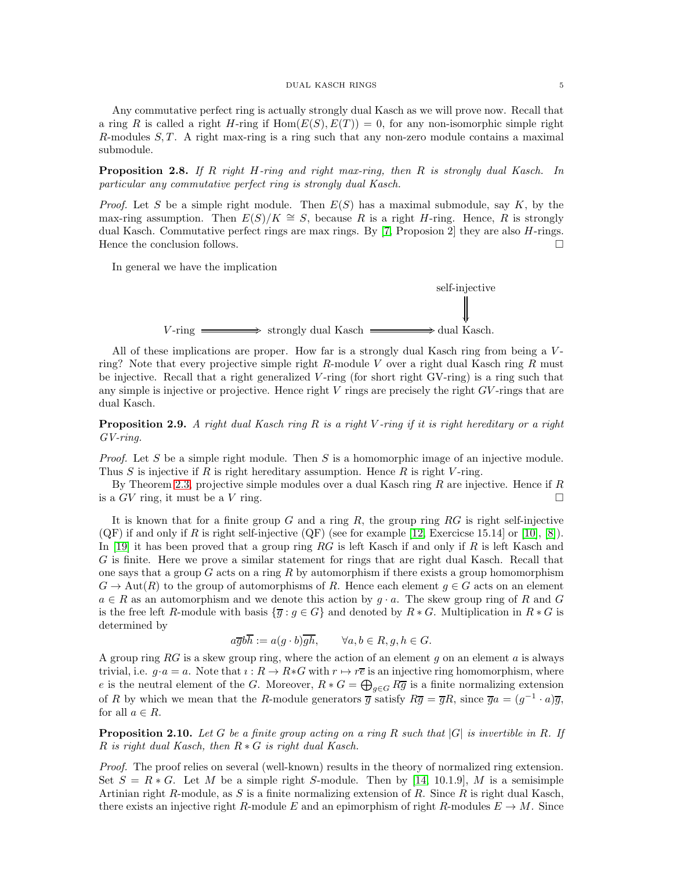Any commutative perfect ring is actually strongly dual Kasch as we will prove now. Recall that a ring R is called a right H-ring if  $Hom(E(S), E(T)) = 0$ , for any non-isomorphic simple right R-modules  $S, T$ . A right max-ring is a ring such that any non-zero module contains a maximal submodule.

<span id="page-4-1"></span>**Proposition 2.8.** If R right H-ring and right max-ring, then R is strongly dual Kasch. In particular any commutative perfect ring is strongly dual Kasch.

*Proof.* Let S be a simple right module. Then  $E(S)$  has a maximal submodule, say K, by the max-ring assumption. Then  $E(S)/K \cong S$ , because R is a right H-ring. Hence, R is strongly dual Kasch. Commutative perfect rings are max rings. By [\[7,](#page-10-3) Proposion 2] they are also H-rings. Hence the conclusion follows.  $\Box$ 

In general we have the implication



All of these implications are proper. How far is a strongly dual Kasch ring from being a Vring? Note that every projective simple right R-module V over a right dual Kasch ring R must be injective. Recall that a right generalized V -ring (for short right GV-ring) is a ring such that any simple is injective or projective. Hence right  $V$  rings are precisely the right  $GV$ -rings that are dual Kasch.

**Proposition 2.9.** A right dual Kasch ring R is a right V-ring if it is right hereditary or a right GV-ring.

*Proof.* Let S be a simple right module. Then S is a homomorphic image of an injective module. Thus S is injective if R is right hereditary assumption. Hence R is right V-ring.

By Theorem [2.3,](#page-2-0) projective simple modules over a dual Kasch ring  $R$  are injective. Hence if  $R$ is a  $GV$  ring, it must be a V ring.

It is known that for a finite group  $G$  and a ring  $R$ , the group ring  $RG$  is right self-injective  $(QF)$  if and only if R is right self-injective  $(QF)$  (see for example [\[12,](#page-10-4) Exercicse 15.14] or [\[10\]](#page-10-5), [\[8\]](#page-10-6)). In [\[19\]](#page-11-1) it has been proved that a group ring RG is left Kasch if and only if R is left Kasch and G is finite. Here we prove a similar statement for rings that are right dual Kasch. Recall that one says that a group  $G$  acts on a ring  $R$  by automorphism if there exists a group homomorphism  $G \to \text{Aut}(R)$  to the group of automorphisms of R. Hence each element  $g \in G$  acts on an element  $a \in R$  as an automorphism and we denote this action by  $g \cdot a$ . The skew group ring of R and G is the free left R-module with basis  $\{\overline{g} : g \in G\}$  and denoted by  $R * G$ . Multiplication in  $R * G$  is determined by

$$
a\overline{g}b\overline{h} := a(g \cdot b)\overline{gh}, \qquad \forall a, b \in R, g, h \in G.
$$

A group ring  $RG$  is a skew group ring, where the action of an element g on an element a is always trivial, i.e.  $g \cdot a = a$ . Note that  $\iota : R \to R * G$  with  $r \mapsto r\overline{e}$  is an injective ring homomorphism, where e is the neutral element of the G. Moreover,  $R * G = \bigoplus_{g \in G} R\overline{g}$  is a finite normalizing extension of R by which we mean that the R-module generators  $\overline{g}$  satisfy  $R\overline{g} = \overline{g}R$ , since  $\overline{g}a = (g^{-1} \cdot a)\overline{g}$ , for all  $a \in R$ .

<span id="page-4-0"></span>**Proposition 2.10.** Let G be a finite group acting on a ring R such that  $|G|$  is invertible in R. If R is right dual Kasch, then  $R * G$  is right dual Kasch.

Proof. The proof relies on several (well-known) results in the theory of normalized ring extension. Set  $S = R * G$ . Let M be a simple right S-module. Then by [\[14,](#page-11-3) 10.1.9], M is a semisimple Artinian right R-module, as S is a finite normalizing extension of R. Since  $R$  is right dual Kasch, there exists an injective right R-module E and an epimorphism of right R-modules  $E \to M$ . Since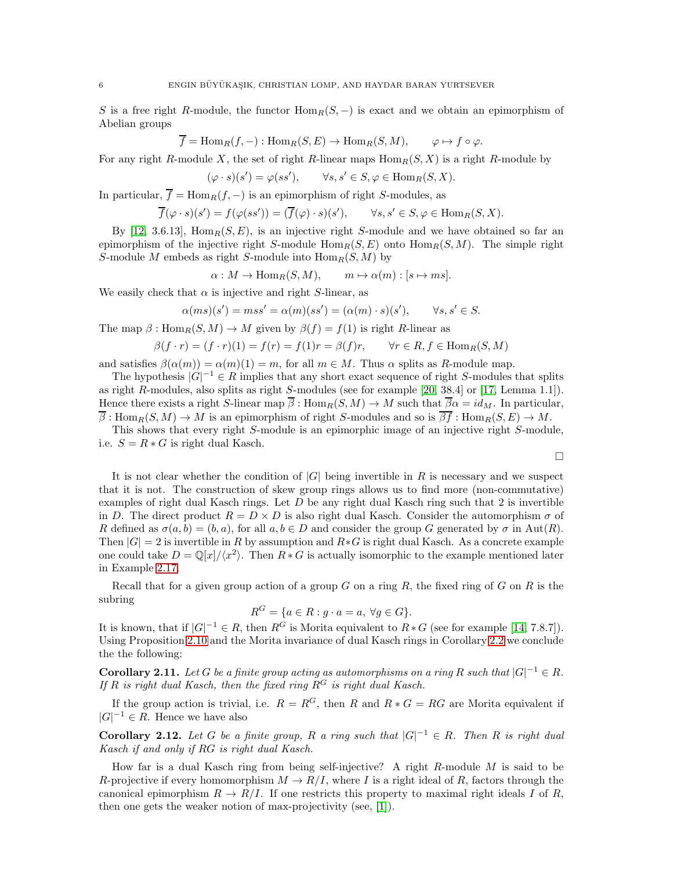S is a free right R-module, the functor  $\text{Hom}_R(S, -)$  is exact and we obtain an epimorphism of Abelian groups

$$
\overline{f} = \text{Hom}_R(f, -) : \text{Hom}_R(S, E) \to \text{Hom}_R(S, M), \qquad \varphi \mapsto f \circ \varphi.
$$

For any right R-module X, the set of right R-linear maps  $\text{Hom}_R(S, X)$  is a right R-module by

$$
(\varphi \cdot s)(s') = \varphi(ss'), \qquad \forall s, s' \in S, \varphi \in \text{Hom}_R(S, X).
$$

In particular,  $\overline{f} = \text{Hom}_R(f, -)$  is an epimorphism of right S-modules, as

$$
\overline{f}(\varphi \cdot s)(s') = f(\varphi(ss')) = (\overline{f}(\varphi) \cdot s)(s'), \qquad \forall s, s' \in S, \varphi \in \text{Hom}_R(S, X).
$$

By [\[12,](#page-10-4) 3.6.13], Hom $_B(S, E)$ , is an injective right S-module and we have obtained so far an epimorphism of the injective right S-module  $\text{Hom}_R(S, E)$  onto  $\text{Hom}_R(S, M)$ . The simple right S-module M embeds as right S-module into  $\text{Hom}_R(S, M)$  by

$$
\alpha: M \to \text{Hom}_R(S, M), \qquad m \mapsto \alpha(m) : [s \mapsto ms].
$$

We easily check that  $\alpha$  is injective and right S-linear, as

$$
\alpha(ms)(s') = mss' = \alpha(m)(ss') = (\alpha(m) \cdot s)(s'), \qquad \forall s, s' \in S.
$$

The map  $\beta$ : Hom $_R(S, M) \to M$  given by  $\beta(f) = f(1)$  is right R-linear as

$$
\beta(f \cdot r) = (f \cdot r)(1) = f(r) = f(1)r = \beta(f)r, \qquad \forall r \in R, f \in \text{Hom}_R(S, M)
$$

and satisfies  $\beta(\alpha(m)) = \alpha(m)(1) = m$ , for all  $m \in M$ . Thus  $\alpha$  splits as R-module map.

The hypothesis  $|G|^{-1} \in R$  implies that any short exact sequence of right S-modules that splits as right R-modules, also splits as right S-modules (see for example [\[20,](#page-11-2) 38.4] or [\[17,](#page-11-4) Lemma 1.1]). Hence there exists a right S-linear map  $\overline{\beta}$ : Hom $_R(S, M) \to M$  such that  $\overline{\beta}\alpha = id_M$ . In particular,  $\overline{\beta}$ : Hom $_R(S, M) \to M$  is an epimorphism of right S-modules and so is  $\overline{\beta f}$ : Hom $_R(S, E) \to M$ .

This shows that every right S-module is an epimorphic image of an injective right S-module, i.e.  $S = R * G$  is right dual Kasch.

 $\Box$ 

It is not clear whether the condition of  $|G|$  being invertible in R is necessary and we suspect that it is not. The construction of skew group rings allows us to find more (non-commutative) examples of right dual Kasch rings. Let  $D$  be any right dual Kasch ring such that 2 is invertible in D. The direct product  $R = D \times D$  is also right dual Kasch. Consider the automorphism  $\sigma$  of R defined as  $\sigma(a, b) = (b, a)$ , for all  $a, b \in D$  and consider the group G generated by  $\sigma$  in Aut(R). Then  $|G| = 2$  is invertible in R by assumption and  $R * G$  is right dual Kasch. As a concrete example one could take  $D = \mathbb{Q}[x]/\langle x^2 \rangle$ . Then  $R * G$  is actually isomorphic to the example mentioned later in Example [2.17.](#page-7-1)

Recall that for a given group action of a group  $G$  on a ring  $R$ , the fixed ring of  $G$  on  $R$  is the subring

$$
R^G = \{ a \in R : g \cdot a = a, \ \forall g \in G \}.
$$

It is known, that if  $|G|^{-1} \in R$ , then  $R^G$  is Morita equivalent to  $R * G$  (see for example [\[14,](#page-11-3) 7.8.7]). Using Proposition [2.10](#page-4-0) and the Morita invariance of dual Kasch rings in Corollary [2.2](#page-1-1) we conclude the the following:

**Corollary 2.11.** Let G be a finite group acting as automorphisms on a ring R such that  $|G|^{-1} \in R$ . If R is right dual Kasch, then the fixed ring  $R^G$  is right dual Kasch.

If the group action is trivial, i.e.  $R = R^G$ , then R and  $R * G = RG$  are Morita equivalent if  $|G|^{-1} \in R$ . Hence we have also

**Corollary 2.12.** Let G be a finite group, R a ring such that  $|G|^{-1} \in R$ . Then R is right dual Kasch if and only if RG is right dual Kasch.

How far is a dual Kasch ring from being self-injective? A right  $R$ -module  $M$  is said to be R-projective if every homomorphism  $M \to R/I$ , where I is a right ideal of R, factors through the canonical epimorphism  $R \to R/I$ . If one restricts this property to maximal right ideals I of R, then one gets the weaker notion of max-projectivity (see, [\[1\]](#page-10-7)).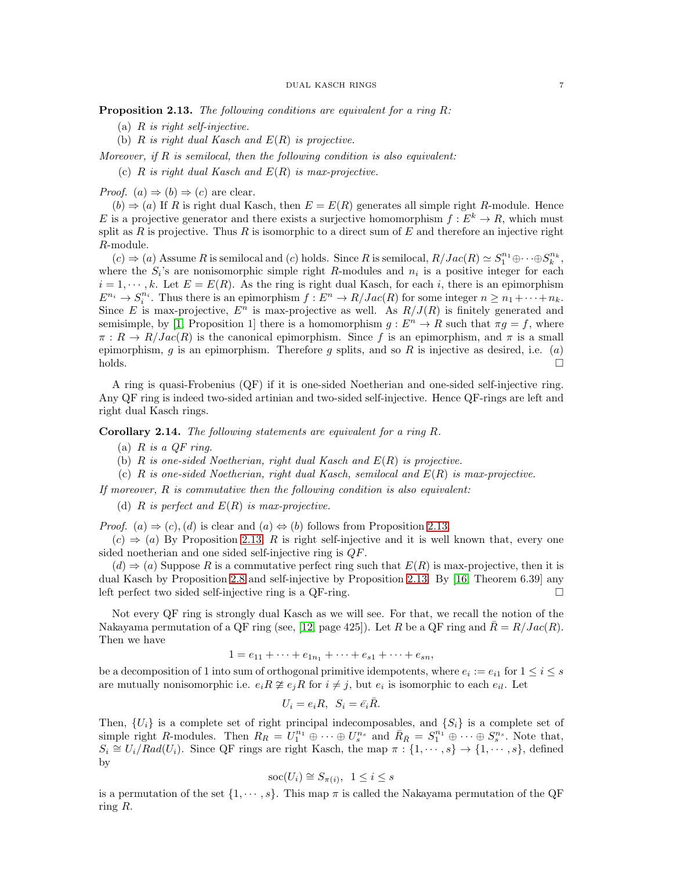<span id="page-6-0"></span>**Proposition 2.13.** The following conditions are equivalent for a ring  $R$ :

- (a)  $R$  is right self-injective.
- (b)  $R$  is right dual Kasch and  $E(R)$  is projective.

Moreover, if  $R$  is semilocal, then the following condition is also equivalent:

(c)  $R$  is right dual Kasch and  $E(R)$  is max-projective.

*Proof.* (a)  $\Rightarrow$  (b)  $\Rightarrow$  (c) are clear.

 $(b) \Rightarrow (a)$  If R is right dual Kasch, then  $E = E(R)$  generates all simple right R-module. Hence E is a projective generator and there exists a surjective homomorphism  $f: E^k \to R$ , which must split as  $R$  is projective. Thus  $R$  is isomorphic to a direct sum of  $E$  and therefore an injective right R-module.

 $(c) \Rightarrow (a)$  Assume R is semilocal and  $(c)$  holds. Since R is semilocal,  $R/Jac(R) \simeq S_1^{n_1} \oplus \cdots \oplus S_k^{n_k}$ , where the  $S_i$ 's are nonisomorphic simple right R-modules and  $n_i$  is a positive integer for each  $i = 1, \dots, k$ . Let  $E = E(R)$ . As the ring is right dual Kasch, for each i, there is an epimorphism  $E^{n_i} \to S_i^{n_i}$ . Thus there is an epimorphism  $f : E^n \to R/Jac(R)$  for some integer  $n \geq n_1 + \cdots + n_k$ . Since E is max-projective,  $E^n$  is max-projective as well. As  $R/J(R)$  is finitely generated and semisimple, by [\[1,](#page-10-7) Proposition 1] there is a homomorphism  $g : E<sup>n</sup> \to R$  such that  $\pi g = f$ , where  $\pi: R \to R/Jac(R)$  is the canonical epimorphism. Since f is an epimorphism, and  $\pi$  is a small epimorphism, g is an epimorphism. Therefore g splits, and so R is injective as desired, i.e.  $(a)$ holds.

A ring is quasi-Frobenius (QF) if it is one-sided Noetherian and one-sided self-injective ring. Any QF ring is indeed two-sided artinian and two-sided self-injective. Hence QF-rings are left and right dual Kasch rings.

Corollary 2.14. The following statements are equivalent for a ring R.

- (a)  $R$  is a  $QF$  ring.
- (b)  $R$  is one-sided Noetherian, right dual Kasch and  $E(R)$  is projective.
- (c) R is one-sided Noetherian, right dual Kasch, semilocal and  $E(R)$  is max-projective.

If moreover,  $R$  is commutative then the following condition is also equivalent:

(d)  $R$  is perfect and  $E(R)$  is max-projective.

*Proof.* (a)  $\Rightarrow$  (c), (d) is clear and (a)  $\Leftrightarrow$  (b) follows from Proposition [2.13.](#page-6-0)

 $(c) \Rightarrow (a)$  By Proposition [2.13,](#page-6-0) R is right self-injective and it is well known that, every one sided noetherian and one sided self-injective ring is QF.

 $(d) \Rightarrow (a)$  Suppose R is a commutative perfect ring such that  $E(R)$  is max-projective, then it is dual Kasch by Proposition [2.8](#page-4-1) and self-injective by Proposition [2.13.](#page-6-0) By [\[16,](#page-11-5) Theorem 6.39] any left perfect two sided self-injective ring is a QF-ring.  $\Box$ 

Not every QF ring is strongly dual Kasch as we will see. For that, we recall the notion of the Nakayama permutation of a QF ring (see, [\[12,](#page-10-4) page 425]). Let R be a QF ring and  $\bar{R} = R/Jac(R)$ . Then we have

$$
1 = e_{11} + \dots + e_{1n_1} + \dots + e_{s1} + \dots + e_{sn},
$$

be a decomposition of 1 into sum of orthogonal primitive idempotents, where  $e_i := e_{i1}$  for  $1 \le i \le s$ are mutually nonisomorphic i.e.  $e_i R \not\cong e_j R$  for  $i \neq j$ , but  $e_i$  is isomorphic to each  $e_{il}$ . Let

$$
U_i = e_i R, \ S_i = \bar{e_i} \bar{R}.
$$

Then,  $\{U_i\}$  is a complete set of right principal indecomposables, and  $\{S_i\}$  is a complete set of simple right R-modules. Then  $R_R = U_1^{n_1} \oplus \cdots \oplus U_s^{n_s}$  and  $\bar{R}_{\bar{R}} = S_1^{n_1} \oplus \cdots \oplus S_s^{n_s}$ . Note that,  $S_i \cong U_i/Rad(U_i)$ . Since QF rings are right Kasch, the map  $\pi : \{1, \dots, s\} \to \{1, \dots, s\}$ , defined by

$$
\operatorname{soc}(U_i) \cong S_{\pi(i)}, \ \ 1 \le i \le s
$$

is a permutation of the set  $\{1, \dots, s\}$ . This map  $\pi$  is called the Nakayama permutation of the QF ring R.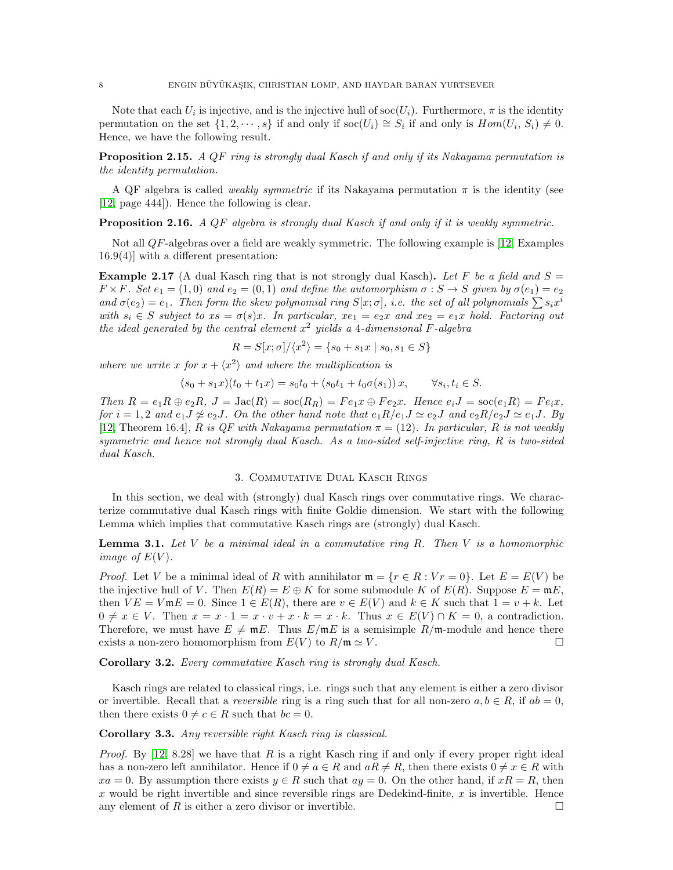Note that each  $U_i$  is injective, and is the injective hull of soc $(U_i)$ . Furthermore,  $\pi$  is the identity permutation on the set  $\{1, 2, \dots, s\}$  if and only if soc $(U_i) \cong S_i$  if and only is  $Hom(U_i, S_i) \neq 0$ . Hence, we have the following result.

<span id="page-7-0"></span>**Proposition 2.15.** A QF ring is strongly dual Kasch if and only if its Nakayama permutation is the identity permutation.

A QF algebra is called *weakly symmetric* if its Nakayama permutation  $\pi$  is the identity (see [\[12,](#page-10-4) page 444]). Hence the following is clear.

**Proposition 2.16.** A QF algebra is strongly dual Kasch if and only if it is weakly symmetric.

Not all QF-algebras over a field are weakly symmetric. The following example is [\[12,](#page-10-4) Examples 16.9(4)] with a different presentation:

<span id="page-7-1"></span>**Example 2.17** (A dual Kasch ring that is not strongly dual Kasch). Let F be a field and  $S =$  $F \times F$ . Set  $e_1 = (1, 0)$  and  $e_2 = (0, 1)$  and define the automorphism  $\sigma : S \to S$  given by  $\sigma(e_1) = e_2$ and  $\sigma(e_2) = e_1$ . Then form the skew polynomial ring  $S[x; \sigma]$ , i.e. the set of all polynomials  $\sum s_i x^i$ with  $s_i \in S$  subject to  $xs = \sigma(s)x$ . In particular,  $xe_1 = e_2x$  and  $xe_2 = e_1x$  hold. Factoring out the ideal generated by the central element  $x^2$  yields a 4-dimensional F-algebra

$$
R = S[x; \sigma]/\langle x^2 \rangle = \{s_0 + s_1x \mid s_0, s_1 \in S\}
$$

where we write x for  $x + \langle x^2 \rangle$  and where the multiplication is

$$
(s_0 + s_1 x)(t_0 + t_1 x) = s_0 t_0 + (s_0 t_1 + t_0 \sigma(s_1)) x, \quad \forall s_i, t_i \in S.
$$

Then  $R = e_1R \oplus e_2R$ ,  $J = \text{Jac}(R) = \text{soc}(R_R) = Fe_1x \oplus Fe_2x$ . Hence  $e_iJ = \text{soc}(e_1R) = Fe_ix$ , for  $i = 1, 2$  and  $e_1J \not\approx e_2J$ . On the other hand note that  $e_1R/e_1J \simeq e_2J$  and  $e_2R/e_2J \simeq e_1J$ . By [\[12,](#page-10-4) Theorem 16.4], R is QF with Nakayama permutation  $\pi = (12)$ . In particular, R is not weakly symmetric and hence not strongly dual Kasch. As a two-sided self-injective ring, R is two-sided dual Kasch.

# 3. Commutative Dual Kasch Rings

In this section, we deal with (strongly) dual Kasch rings over commutative rings. We characterize commutative dual Kasch rings with finite Goldie dimension. We start with the following Lemma which implies that commutative Kasch rings are (strongly) dual Kasch.

**Lemma 3.1.** Let  $V$  be a minimal ideal in a commutative ring  $R$ . Then  $V$  is a homomorphic image of  $E(V)$ .

*Proof.* Let V be a minimal ideal of R with annihilator  $\mathfrak{m} = \{r \in R : Vr = 0\}$ . Let  $E = E(V)$  be the injective hull of V. Then  $E(R) = E \oplus K$  for some submodule K of  $E(R)$ . Suppose  $E = mE$ , then  $VE = V \mathfrak{m} E = 0$ . Since  $1 \in E(R)$ , there are  $v \in E(V)$  and  $k \in K$  such that  $1 = v + k$ . Let  $0 \neq x \in V$ . Then  $x = x \cdot 1 = x \cdot v + x \cdot k = x \cdot k$ . Thus  $x \in E(V) \cap K = 0$ , a contradiction. Therefore, we must have  $E \neq mE$ . Thus  $E/mE$  is a semisimple  $R/m$ -module and hence there exists a non-zero homomorphism from  $E(V)$  to  $R/\mathfrak{m} \simeq V$ .

Corollary 3.2. Every commutative Kasch ring is strongly dual Kasch.

Kasch rings are related to classical rings, i.e. rings such that any element is either a zero divisor or invertible. Recall that a *reversible* ring is a ring such that for all non-zero  $a, b \in R$ , if  $ab = 0$ , then there exists  $0 \neq c \in R$  such that  $bc = 0$ .

<span id="page-7-2"></span>Corollary 3.3. Any reversible right Kasch ring is classical.

*Proof.* By  $[12, 8.28]$  we have that R is a right Kasch ring if and only if every proper right ideal has a non-zero left annihilator. Hence if  $0 \neq a \in R$  and  $aR \neq R$ , then there exists  $0 \neq x \in R$  with  $xa = 0$ . By assumption there exists  $y \in R$  such that  $ay = 0$ . On the other hand, if  $xR = R$ , then x would be right invertible and since reversible rings are Dedekind-finite,  $x$  is invertible. Hence any element of R is either a zero divisor or invertible.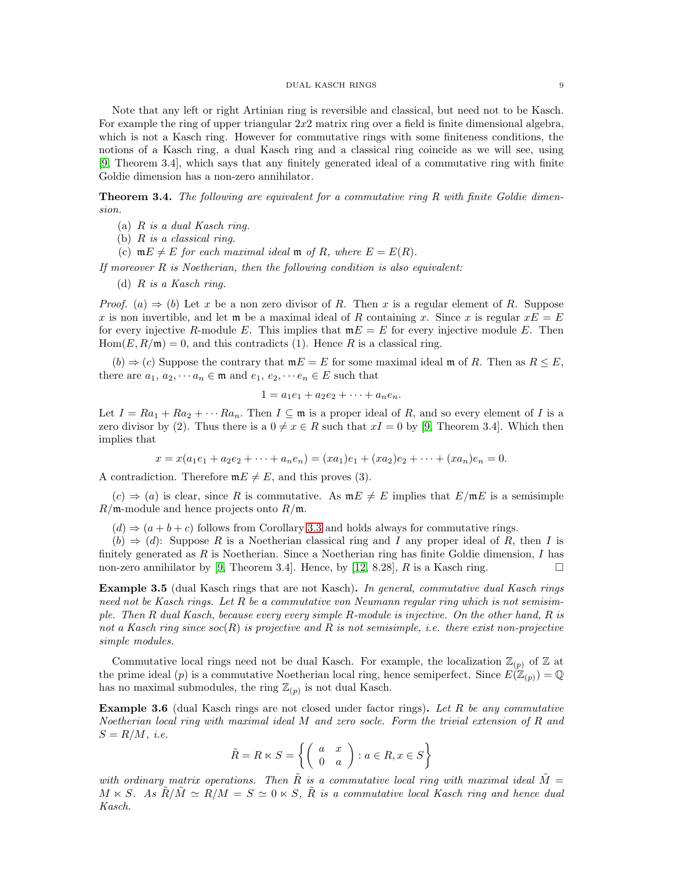#### DUAL KASCH RINGS 9

Note that any left or right Artinian ring is reversible and classical, but need not to be Kasch. For example the ring of upper triangular  $2x2$  matrix ring over a field is finite dimensional algebra, which is not a Kasch ring. However for commutative rings with some finiteness conditions, the notions of a Kasch ring, a dual Kasch ring and a classical ring coincide as we will see, using [\[9,](#page-10-8) Theorem 3.4], which says that any finitely generated ideal of a commutative ring with finite Goldie dimension has a non-zero annihilator.

<span id="page-8-0"></span>**Theorem 3.4.** The following are equivalent for a commutative ring R with finite Goldie dimension.

- (a)  $R$  is a dual Kasch ring.
- (b) R is a classical ring.
- (c)  $mE \neq E$  for each maximal ideal m of R, where  $E = E(R)$ .

If moreover  $R$  is Noetherian, then the following condition is also equivalent:

(d) R is a Kasch ring.

*Proof.* (a)  $\Rightarrow$  (b) Let x be a non zero divisor of R. Then x is a regular element of R. Suppose x is non invertible, and let  $\mathfrak m$  be a maximal ideal of R containing x. Since x is regular  $xE = E$ for every injective R-module E. This implies that  $mE = E$  for every injective module E. Then  $Hom(E, R/\mathfrak{m}) = 0$ , and this contradicts (1). Hence R is a classical ring.

 $(b) \Rightarrow (c)$  Suppose the contrary that  $mE = E$  for some maximal ideal m of R. Then as  $R \leq E$ , there are  $a_1, a_2, \dots, a_n \in \mathfrak{m}$  and  $e_1, e_2, \dots, e_n \in E$  such that

$$
1 = a_1 e_1 + a_2 e_2 + \dots + a_n e_n.
$$

Let  $I = Ra_1 + Ra_2 + \cdots Ra_n$ . Then  $I \subseteq \mathfrak{m}$  is a proper ideal of R, and so every element of I is a zero divisor by (2). Thus there is a  $0 \neq x \in R$  such that  $xI = 0$  by [\[9,](#page-10-8) Theorem 3.4]. Which then implies that

 $x = x(a_1e_1 + a_2e_2 + \cdots + a_ne_n) = (xa_1)e_1 + (xa_2)e_2 + \cdots + (xa_n)e_n = 0.$ 

A contradiction. Therefore  $mE \neq E$ , and this proves (3).

 $(c) \Rightarrow (a)$  is clear, since R is commutative. As  $mE \neq E$  implies that  $E/mE$  is a semisimple  $R/\mathfrak{m}$ -module and hence projects onto  $R/\mathfrak{m}$ .

 $(d) \Rightarrow (a+b+c)$  follows from Corollary [3.3](#page-7-2) and holds always for commutative rings.

 $(b) \Rightarrow (d)$ : Suppose R is a Noetherian classical ring and I any proper ideal of R, then I is finitely generated as  $R$  is Noetherian. Since a Noetherian ring has finite Goldie dimension,  $I$  has non-zero annihilator by [\[9,](#page-10-8) Theorem 3.4]. Hence, by [\[12,](#page-10-4) 8.28], R is a Kasch ring.

Example 3.5 (dual Kasch rings that are not Kasch). In general, commutative dual Kasch rings need not be Kasch rings. Let R be a commutative von Neumann regular ring which is not semisimple. Then R dual Kasch, because every every simple R-module is injective. On the other hand, R is not a Kasch ring since  $soc(R)$  is projective and R is not semisimple, i.e. there exist non-projective simple modules.

Commutative local rings need not be dual Kasch. For example, the localization  $\mathbb{Z}_{(p)}$  of  $\mathbb Z$  at the prime ideal (p) is a commutative Noetherian local ring, hence semiperfect. Since  $E(\mathbb{Z}_{(p)}) = \mathbb{Q}$ has no maximal submodules, the ring  $\mathbb{Z}_{(p)}$  is not dual Kasch.

**Example 3.6** (dual Kasch rings are not closed under factor rings). Let R be any commutative Noetherian local ring with maximal ideal M and zero socle. Form the trivial extension of R and  $S = R/M$ , *i.e.* 

$$
\tilde{R} = R \ltimes S = \left\{ \left( \begin{array}{cc} a & x \\ 0 & a \end{array} \right) : a \in R, x \in S \right\}
$$

with ordinary matrix operations. Then  $\tilde{R}$  is a commutative local ring with maximal ideal  $\tilde{M} =$  $M \ltimes S$ . As  $\tilde{R}/\tilde{M} \simeq R/M = S \simeq 0 \ltimes S$ .  $\tilde{R}$  is a commutative local Kasch ring and hence dual Kasch.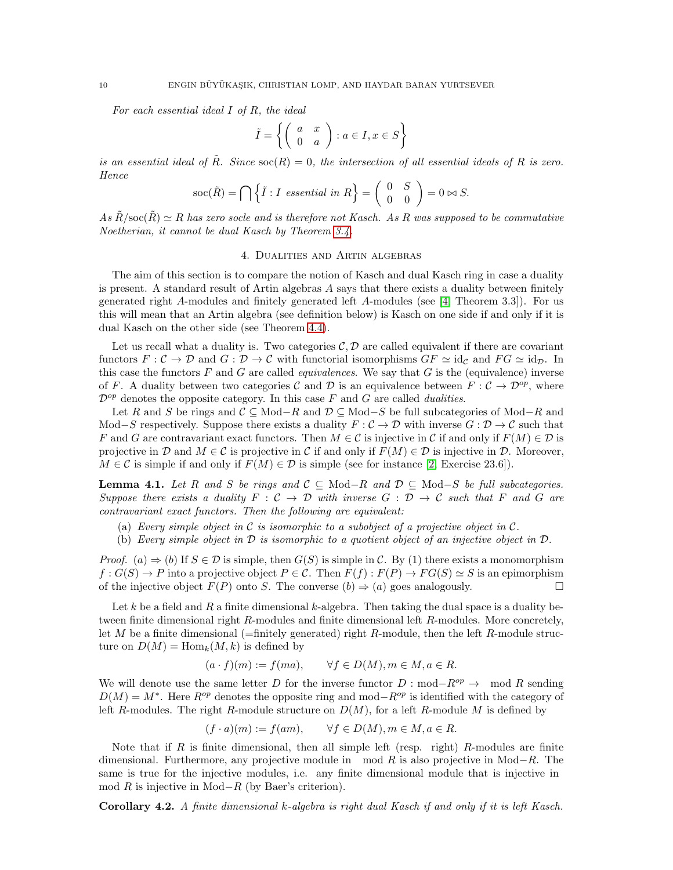For each essential ideal I of R, the ideal

$$
\tilde{I} = \left\{ \left( \begin{array}{cc} a & x \\ 0 & a \end{array} \right) : a \in I, x \in S \right\}
$$

is an essential ideal of  $\tilde{R}$ . Since  $\operatorname{soc}(R) = 0$ , the intersection of all essential ideals of R is zero. Hence

$$
\operatorname{soc}(\tilde{R}) = \bigcap \left\{ \tilde{I} : I \text{ essential in } R \right\} = \left( \begin{array}{cc} 0 & S \\ 0 & 0 \end{array} \right) = 0 \bowtie S.
$$

As  $\tilde{R}/\text{soc}(\tilde{R}) \simeq R$  has zero socle and is therefore not Kasch. As R was supposed to be commutative Noetherian, it cannot be dual Kasch by Theorem [3.4.](#page-8-0)

### 4. Dualities and Artin algebras

The aim of this section is to compare the notion of Kasch and dual Kasch ring in case a duality is present. A standard result of Artin algebras  $A$  says that there exists a duality between finitely generated right A-modules and finitely generated left A-modules (see [\[4,](#page-10-9) Theorem 3.3]). For us this will mean that an Artin algebra (see definition below) is Kasch on one side if and only if it is dual Kasch on the other side (see Theorem [4.4\)](#page-10-10).

Let us recall what a duality is. Two categories  $C, D$  are called equivalent if there are covariant functors  $F: \mathcal{C} \to \mathcal{D}$  and  $G: \mathcal{D} \to \mathcal{C}$  with functorial isomorphisms  $GF \simeq id_{\mathcal{C}}$  and  $FG \simeq id_{\mathcal{D}}$ . In this case the functors  $F$  and  $G$  are called *equivalences*. We say that  $G$  is the (equivalence) inverse of F. A duality between two categories C and D is an equivalence between  $F: \mathcal{C} \to \mathcal{D}^{op}$ , where  $\mathcal{D}^{op}$  denotes the opposite category. In this case F and G are called *dualities*.

Let R and S be rings and  $\mathcal{C} \subseteq Mod-R$  and  $\mathcal{D} \subseteq Mod-S$  be full subcategories of Mod-R and Mod–S respectively. Suppose there exists a duality  $F: \mathcal{C} \to \mathcal{D}$  with inverse  $G: \mathcal{D} \to \mathcal{C}$  such that F and G are contravariant exact functors. Then  $M \in \mathcal{C}$  is injective in C if and only if  $F(M) \in \mathcal{D}$  is projective in D and  $M \in \mathcal{C}$  is projective in C if and only if  $F(M) \in \mathcal{D}$  is injective in D. Moreover,  $M \in \mathcal{C}$  is simple if and only if  $F(M) \in \mathcal{D}$  is simple (see for instance [\[2,](#page-10-11) Exercise 23.6]).

**Lemma 4.1.** Let R and S be rings and  $C \subseteq Mod-R$  and  $D \subseteq Mod-S$  be full subcategories. Suppose there exists a duality  $F : C \to D$  with inverse  $G : D \to C$  such that F and G are contravariant exact functors. Then the following are equivalent:

- (a) Every simple object in  $\mathcal C$  is isomorphic to a subobject of a projective object in  $\mathcal C$ .
- (b) Every simple object in  $\mathcal D$  is isomorphic to a quotient object of an injective object in  $\mathcal D$ .

*Proof.* (a)  $\Rightarrow$  (b) If  $S \in \mathcal{D}$  is simple, then  $G(S)$  is simple in C. By (1) there exists a monomorphism  $f: G(S) \to P$  into a projective object  $P \in \mathcal{C}$ . Then  $F(f): F(P) \to FG(S) \simeq S$  is an epimorphism of the injective object  $F(P)$  onto S. The converse  $(b) \Rightarrow (a)$  goes analogously.

Let k be a field and R a finite dimensional k-algebra. Then taking the dual space is a duality between finite dimensional right R-modules and finite dimensional left R-modules. More concretely, let M be a finite dimensional (=finitely generated) right R-module, then the left R-module structure on  $D(M) = \text{Hom}_k(M, k)$  is defined by

$$
(a \cdot f)(m) := f(ma), \qquad \forall f \in D(M), m \in M, a \in R.
$$

We will denote use the same letter D for the inverse functor  $D : \text{mod}-R^{op} \to \text{mod } R$  sending  $D(M) = M^*$ . Here  $R^{op}$  denotes the opposite ring and mod– $R^{op}$  is identified with the category of left R-modules. The right R-module structure on  $D(M)$ , for a left R-module M is defined by

$$
(f \cdot a)(m) := f(am), \qquad \forall f \in D(M), m \in M, a \in R.
$$

Note that if  $R$  is finite dimensional, then all simple left (resp. right)  $R$ -modules are finite dimensional. Furthermore, any projective module in mod R is also projective in Mod–R. The same is true for the injective modules, i.e. any finite dimensional module that is injective in mod R is injective in Mod−R (by Baer's criterion).

<span id="page-9-0"></span>Corollary 4.2. A finite dimensional k-algebra is right dual Kasch if and only if it is left Kasch.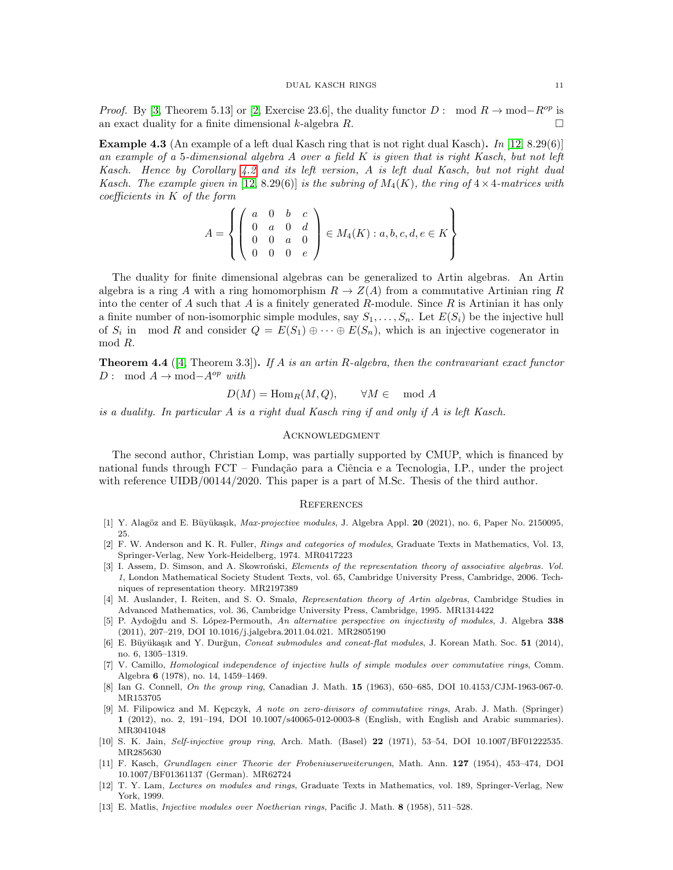*Proof.* By [\[3,](#page-10-12) Theorem 5.13] or [\[2,](#page-10-11) Exercise 23.6], the duality functor D : mod  $R \to \text{mod}-R^{op}$  is an exact duality for a finite dimensional k-algebra R.

<span id="page-10-2"></span>**Example 4.3** (An example of a left dual Kasch ring that is not right dual Kasch). In [\[12,](#page-10-4) 8.29(6)] an example of a 5-dimensional algebra  $A$  over a field  $K$  is given that is right Kasch, but not left Kasch. Hence by Corollary [4.2](#page-9-0) and its left version, A is left dual Kasch, but not right dual Kasch. The example given in [\[12,](#page-10-4) 8.29(6)] is the subring of  $M_4(K)$ , the ring of  $4 \times 4$ -matrices with coefficients in K of the form

$$
A = \left\{ \left( \begin{array}{cccc} a & 0 & b & c \\ 0 & a & 0 & d \\ 0 & 0 & a & 0 \\ 0 & 0 & 0 & e \end{array} \right) \in M_4(K) : a, b, c, d, e \in K \right\}
$$

The duality for finite dimensional algebras can be generalized to Artin algebras. An Artin algebra is a ring A with a ring homomorphism  $R \to Z(A)$  from a commutative Artinian ring R into the center of A such that A is a finitely generated R-module. Since R is Artinian it has only a finite number of non-isomorphic simple modules, say  $S_1, \ldots, S_n$ . Let  $E(S_i)$  be the injective hull of  $S_i$  in mod R and consider  $Q = E(S_1) \oplus \cdots \oplus E(S_n)$ , which is an injective cogenerator in mod R.

<span id="page-10-10"></span>**Theorem 4.4** ([\[4,](#page-10-9) Theorem 3.3]). If A is an artin R-algebra, then the contravariant exact functor D : mod  $A \to \text{mod} - A^{op}$  with

$$
D(M) = \text{Hom}_R(M, Q), \qquad \forall M \in \mod A
$$

is a duality. In particular A is a right dual Kasch ring if and only if A is left Kasch.

#### **ACKNOWLEDGMENT**

The second author, Christian Lomp, was partially supported by CMUP, which is financed by national funds through FCT – Fundação para a Ciência e a Tecnologia, I.P., under the project with reference UIDB/00144/2020. This paper is a part of M.Sc. Thesis of the third author.

#### **REFERENCES**

- <span id="page-10-7"></span>[1] Y. Alagöz and E. Büyükaşık, Max-projective modules, J. Algebra Appl. 20 (2021), no. 6, Paper No. 2150095, 25.
- <span id="page-10-11"></span>[2] F. W. Anderson and K. R. Fuller, Rings and categories of modules, Graduate Texts in Mathematics, Vol. 13, Springer-Verlag, New York-Heidelberg, 1974. MR0417223
- <span id="page-10-12"></span>[3] I. Assem, D. Simson, and A. Skowroński, Elements of the representation theory of associative algebras. Vol. 1, London Mathematical Society Student Texts, vol. 65, Cambridge University Press, Cambridge, 2006. Techniques of representation theory. MR2197389
- <span id="page-10-9"></span>[4] M. Auslander, I. Reiten, and S. O. Smalø, Representation theory of Artin algebras, Cambridge Studies in Advanced Mathematics, vol. 36, Cambridge University Press, Cambridge, 1995. MR1314422
- [5] P. Aydoğdu and S. López-Permouth, An alternative perspective on injectivity of modules, J. Algebra 338 (2011), 207–219, DOI 10.1016/j.jalgebra.2011.04.021. MR2805190
- <span id="page-10-1"></span>[6] E. Büyükaşık and Y. Durğun, Coneat submodules and coneat-flat modules, J. Korean Math. Soc. 51 (2014), no. 6, 1305–1319.
- <span id="page-10-3"></span>[7] V. Camillo, Homological independence of injective hulls of simple modules over commutative rings, Comm. Algebra 6 (1978), no. 14, 1459–1469.
- <span id="page-10-6"></span>[8] Ian G. Connell, On the group ring, Canadian J. Math. 15 (1963), 650–685, DOI 10.4153/CJM-1963-067-0. MR153705
- <span id="page-10-8"></span>[9] M. Filipowicz and M. Kępczyk, A note on zero-divisors of commutative rings, Arab. J. Math. (Springer) 1 (2012), no. 2, 191–194, DOI 10.1007/s40065-012-0003-8 (English, with English and Arabic summaries). MR3041048
- <span id="page-10-5"></span>[10] S. K. Jain, Self-injective group ring, Arch. Math. (Basel) 22 (1971), 53–54, DOI 10.1007/BF01222535. MR285630
- <span id="page-10-0"></span>[11] F. Kasch, Grundlagen einer Theorie der Frobeniuserweiterungen, Math. Ann. 127 (1954), 453–474, DOI 10.1007/BF01361137 (German). MR62724
- <span id="page-10-4"></span>[12] T. Y. Lam, Lectures on modules and rings, Graduate Texts in Mathematics, vol. 189, Springer-Verlag, New York, 1999.
- [13] E. Matlis, Injective modules over Noetherian rings, Pacific J. Math. 8 (1958), 511–528.